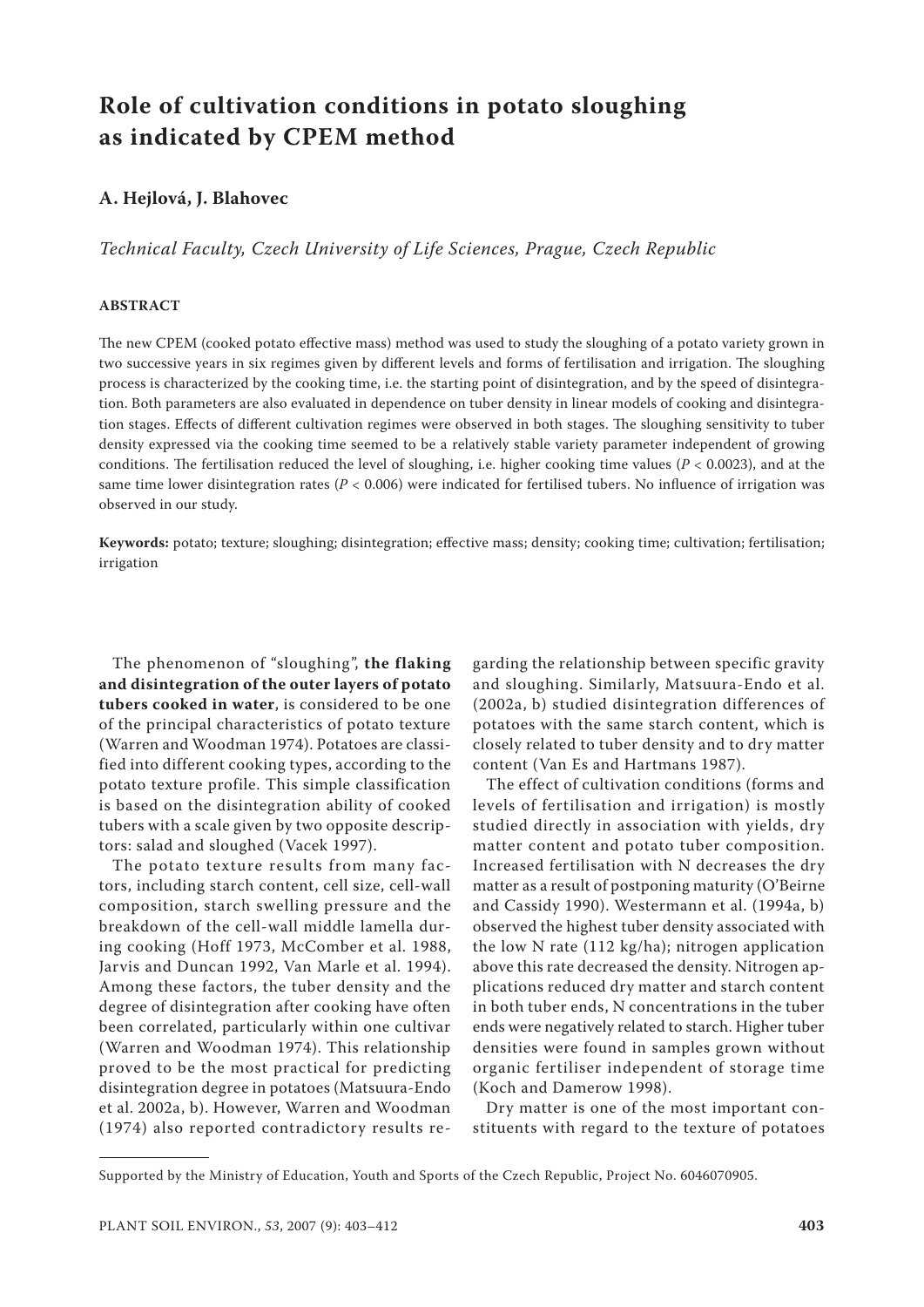# **Role of cultivation conditions in potato sloughing as indicated by CPEM method**

# **A. Hejlová, J. Blahovec**

*Technical Faculty, Czech University of Life Sciences, Prague, Czech Republic*

## **ABSTRACT**

The new CPEM (cooked potato effective mass) method was used to study the sloughing of a potato variety grown in two successive years in six regimes given by different levels and forms of fertilisation and irrigation. The sloughing process is characterized by the cooking time, i.e. the starting point of disintegration, and by the speed of disintegration. Both parameters are also evaluated in dependence on tuber density in linear models of cooking and disintegration stages. Effects of different cultivation regimes were observed in both stages. The sloughing sensitivity to tuber density expressed via the cooking time seemed to be a relatively stable variety parameter independent of growing conditions. The fertilisation reduced the level of sloughing, i.e. higher cooking time values ( $P < 0.0023$ ), and at the same time lower disintegration rates ( $P < 0.006$ ) were indicated for fertilised tubers. No influence of irrigation was observed in our study.

**Keywords:** potato; texture; sloughing; disintegration; effective mass; density; cooking time; cultivation; fertilisation; irrigation

The phenomenon of "sloughing", **the flaking and disintegration of the outer layers of potato tubers cooked in water**, is considered to be one of the principal characteristics of potato texture (Warren and Woodman 1974). Potatoes are classified into different cooking types, according to the potato texture profile. This simple classification is based on the disintegration ability of cooked tubers with a scale given by two opposite descriptors: salad and sloughed (Vacek 1997).

The potato texture results from many factors, including starch content, cell size, cell-wall composition, starch swelling pressure and the breakdown of the cell-wall middle lamella during cooking (Hoff 1973, McComber et al. 1988, Jarvis and Duncan 1992, Van Marle et al. 1994). Among these factors, the tuber density and the degree of disintegration after cooking have often been correlated, particularly within one cultivar (Warren and Woodman 1974). This relationship proved to be the most practical for predicting disintegration degree in potatoes (Matsuura-Endo et al. 2002a, b). However, Warren and Woodman (1974) also reported contradictory results regarding the relationship between specific gravity and sloughing. Similarly, Matsuura-Endo et al. (2002a, b) studied disintegration differences of potatoes with the same starch content, which is closely related to tuber density and to dry matter content (Van Es and Hartmans 1987).

The effect of cultivation conditions (forms and levels of fertilisation and irrigation) is mostly studied directly in association with yields, dry matter content and potato tuber composition. Increased fertilisation with N decreases the dry matter as a result of postponing maturity (O'Beirne and Cassidy 1990). Westermann et al. (1994a, b) observed the highest tuber density associated with the low N rate (112 kg/ha); nitrogen application above this rate decreased the density. Nitrogen applications reduced dry matter and starch content in both tuber ends, N concentrations in the tuber ends were negatively related to starch. Higher tuber densities were found in samples grown without organic fertiliser independent of storage time (Koch and Damerow 1998).

Dry matter is one of the most important constituents with regard to the texture of potatoes

Supported by the Ministry of Education, Youth and Sports of the Czech Republic, Project No. 6046070905.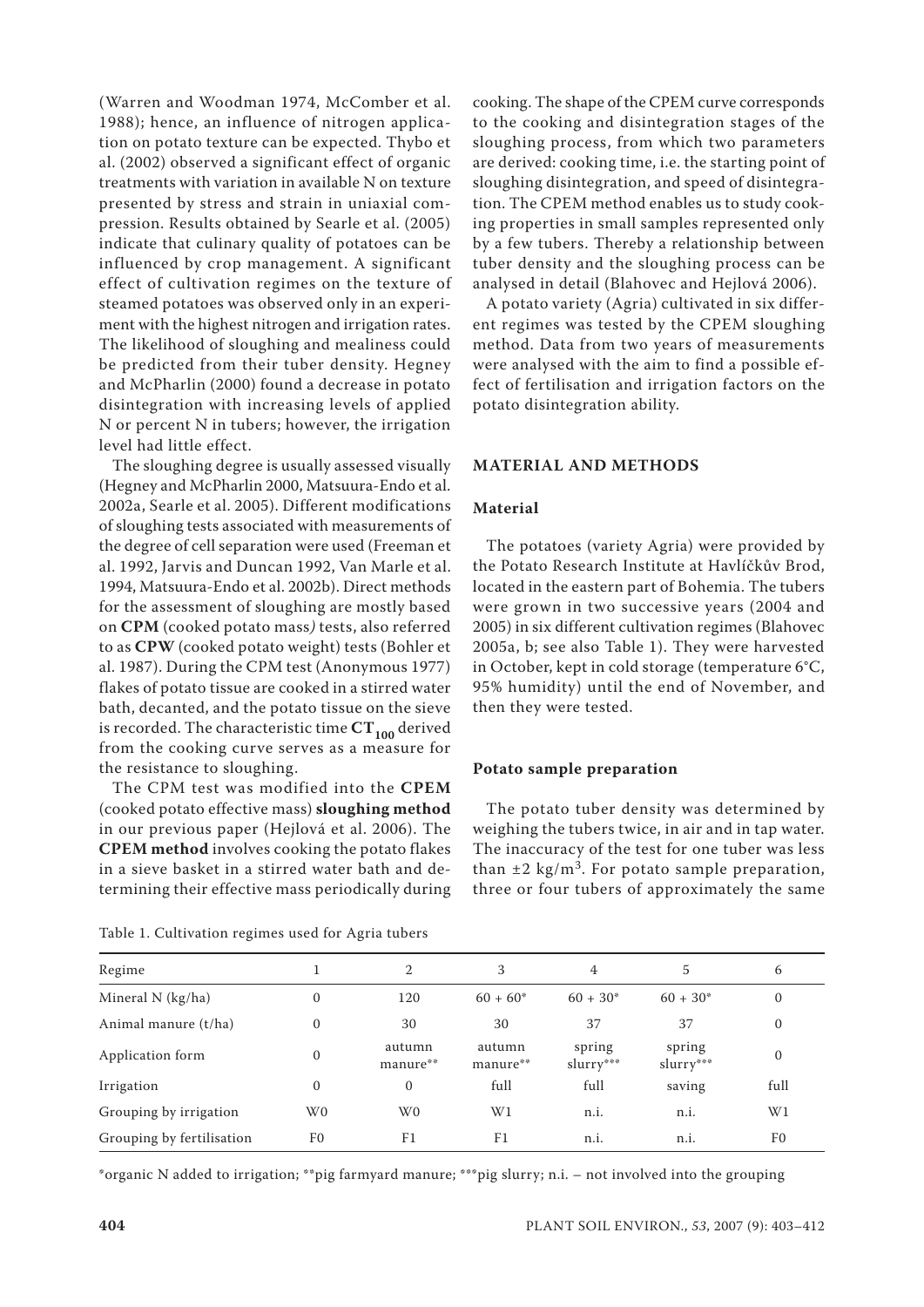(Warren and Woodman 1974, McComber et al. 1988); hence, an influence of nitrogen application on potato texture can be expected. Thybo et al. (2002) observed a significant effect of organic treatments with variation in available N on texture presented by stress and strain in uniaxial compression. Results obtained by Searle et al. (2005) indicate that culinary quality of potatoes can be influenced by crop management. A significant effect of cultivation regimes on the texture of steamed potatoes was observed only in an experiment with the highest nitrogen and irrigation rates. The likelihood of sloughing and mealiness could be predicted from their tuber density. Hegney and McPharlin (2000) found a decrease in potato disintegration with increasing levels of applied N or percent N in tubers; however, the irrigation level had little effect.

The sloughing degree is usually assessed visually (Hegney and McPharlin 2000, Matsuura-Endo et al. 2002a, Searle et al. 2005). Different modifications of sloughing tests associated with measurements of the degree of cell separation were used (Freeman et al. 1992, Jarvis and Duncan 1992, Van Marle et al. 1994, Matsuura-Endo et al. 2002b). Direct methods for the assessment of sloughing are mostly based on **CPM** (cooked potato mass*)* tests, also referred to as **CPW** (cooked potato weight) tests (Bohler et al. 1987). During the CPM test (Anonymous 1977) flakes of potato tissue are cooked in a stirred water bath, decanted, and the potato tissue on the sieve is recorded. The characteristic time  $CT_{100}$  derived from the cooking curve serves as a measure for the resistance to sloughing.

The CPM test was modified into the **CPEM** (cooked potato effective mass) **sloughing method** in our previous paper (Hejlová et al. 2006). The **CPEM method** involves cooking the potato flakes in a sieve basket in a stirred water bath and determining their effective mass periodically during

cooking. The shape of the CPEM curve corresponds to the cooking and disintegration stages of the sloughing process, from which two parameters are derived: cooking time, i.e. the starting point of sloughing disintegration, and speed of disintegration. The CPEM method enables us to study cooking properties in small samples represented only by a few tubers. Thereby a relationship between tuber density and the sloughing process can be analysed in detail (Blahovec and Hejlová 2006).

A potato variety (Agria) cultivated in six different regimes was tested by the CPEM sloughing method. Data from two years of measurements were analysed with the aim to find a possible effect of fertilisation and irrigation factors on the potato disintegration ability.

## **MATERIAL AND METHODS**

## **Material**

The potatoes (variety Agria) were provided by the Potato Research Institute at Havlíčkův Brod, located in the eastern part of Bohemia. The tubers were grown in two successive years (2004 and 2005) in six different cultivation regimes (Blahovec 2005a, b; see also Table 1). They were harvested in October, kept in cold storage (temperature 6°C, 95% humidity) until the end of November, and then they were tested.

#### **Potato sample preparation**

The potato tuber density was determined by weighing the tubers twice, in air and in tap water. The inaccuracy of the test for one tuber was less than  $\pm 2$  kg/m<sup>3</sup>. For potato sample preparation, three or four tubers of approximately the same

| Regime                    |                | 2                  | 3                  | 4                    | 5                   | 6              |
|---------------------------|----------------|--------------------|--------------------|----------------------|---------------------|----------------|
| Mineral $N$ (kg/ha)       | 0              | 120                | $60 + 60*$         | $60 + 30*$           | $60 + 30*$          | $\mathbf{0}$   |
| Animal manure (t/ha)      | $\mathbf{0}$   | 30                 | 30                 | 37                   | 37                  | $\mathbf{0}$   |
| Application form          | 0              | autumn<br>manure** | autumn<br>manure** | spring<br>$slurv***$ | spring<br>slurry*** | $\mathbf{0}$   |
| Irrigation                | 0              | $\mathbf{0}$       | full               | full                 | saving              | full           |
| Grouping by irrigation    | W <sub>0</sub> | W <sub>0</sub>     | W1                 | n.i.                 | n.i.                | W1             |
| Grouping by fertilisation | F <sub>0</sub> | F <sub>1</sub>     | F <sub>1</sub>     | n.i.                 | n.i.                | F <sub>0</sub> |

Table 1. Cultivation regimes used for Agria tubers

\*organic N added to irrigation; \*\*pig farmyard manure; \*\*\*pig slurry; n.i. – not involved into the grouping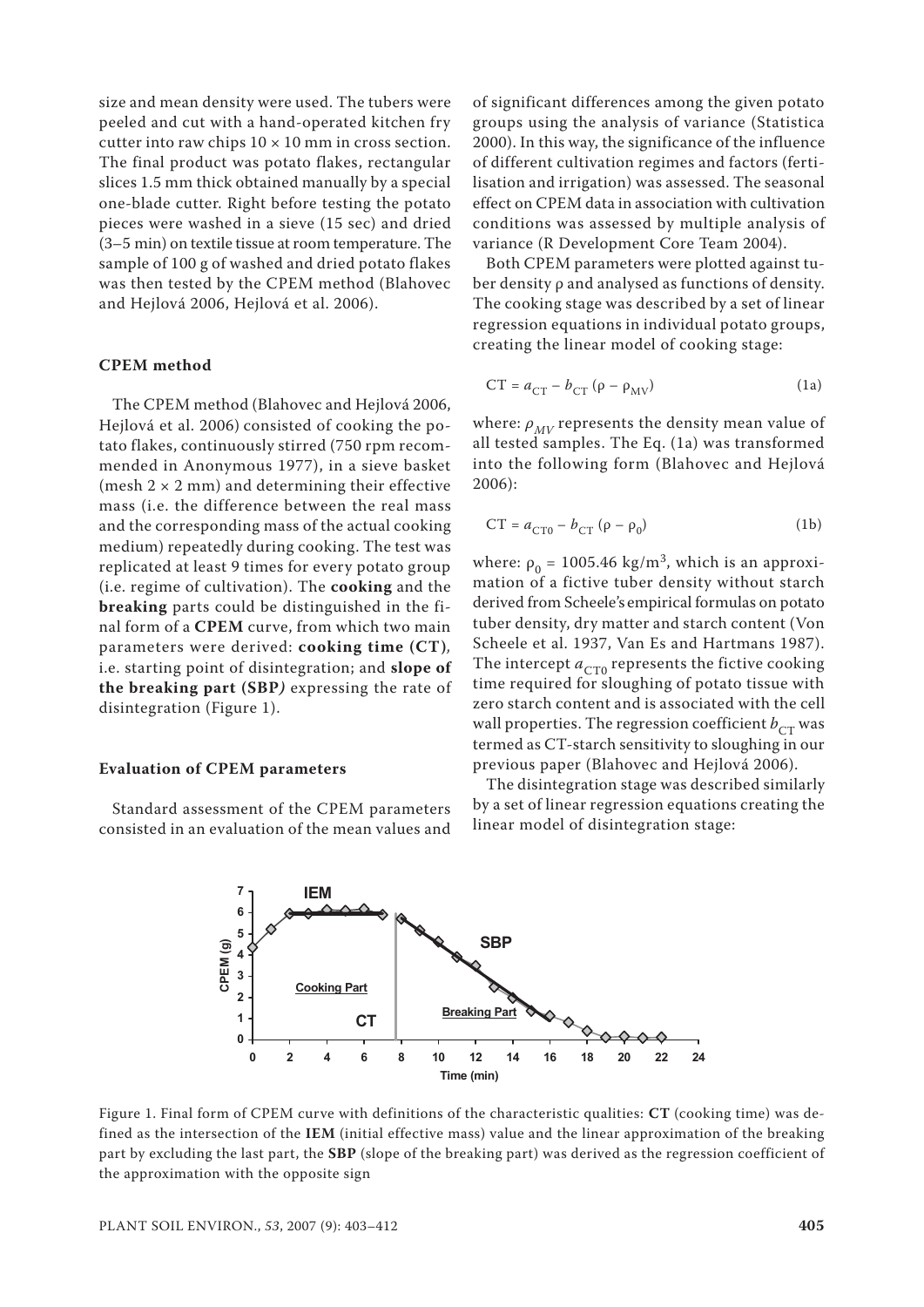size and mean density were used. The tubers were peeled and cut with a hand-operated kitchen fry cutter into raw chips  $10 \times 10$  mm in cross section. The final product was potato flakes, rectangular slices 1.5 mm thick obtained manually by a special one-blade cutter. Right before testing the potato pieces were washed in a sieve (15 sec) and dried (3–5 min) on textile tissue at room temperature. The sample of 100 g of washed and dried potato flakes was then tested by the CPEM method (Blahovec and Hejlová 2006, Hejlová et al. 2006).

#### **CPEM method**

The CPEM method (Blahovec and Hejlová 2006, Hejlová et al. 2006) consisted of cooking the potato flakes, continuously stirred (750 rpm recommended in Anonymous 1977), in a sieve basket (mesh  $2 \times 2$  mm) and determining their effective mass (i.e. the difference between the real mass and the corresponding mass of the actual cooking medium) repeatedly during cooking. The test was replicated at least 9 times for every potato group (i.e. regime of cultivation). The **cooking** and the **breaking** parts could be distinguished in the final form of a **CPEM** curve, from which two main parameters were derived: **cooking time (CT)***,*  i.e. starting point of disintegration; and **slope of the breaking part (SBP***)* expressing the rate of disintegration (Figure 1).

#### **Evaluation of CPEM parameters**

Standard assessment of the CPEM parameters consisted in an evaluation of the mean values and

of significant differences among the given potato groups using the analysis of variance (Statistica 2000). In this way, the significance of the influence of different cultivation regimes and factors (fertilisation and irrigation) was assessed. The seasonal effect on CPEM data in association with cultivation conditions was assessed by multiple analysis of variance (R Development Core Team 2004).

Both CPEM parameters were plotted against tuber density ρ and analysed as functions of density. The cooking stage was described by a set of linear regression equations in individual potato groups, creating the linear model of cooking stage:

$$
CT = a_{CT} - b_{CT} (\rho - \rho_{MV})
$$
 (1a)

where:  $\rho_{MV}$  represents the density mean value of all tested samples. The Eq. (1a) was transformed into the following form (Blahovec and Hejlová 2006):

$$
CT = aCT0 - bCT (\rho - \rho_0)
$$
 (1b)

where:  $\rho_0 = 1005.46 \text{ kg/m}^3$ , which is an approximation of a fictive tuber density without starch derived from Scheele's empirical formulas on potato tuber density, dry matter and starch content (Von Scheele et al. 1937, Van Es and Hartmans 1987). The intercept  $a_{CT0}$  represents the fictive cooking time required for sloughing of potato tissue with zero starch content and is associated with the cell wall properties. The regression coefficient  $b_{CT}$  was termed as CT-starch sensitivity to sloughing in our previous paper (Blahovec and Hejlová 2006).

The disintegration stage was described similarly by a set of linear regression equations creating the linear model of disintegration stage:



Figure 1. Final form of CPEM curve with definitions of the characteristic qualities: **CT** (cooking time) was defined as the intersection of the **IEM** (initial effective mass) value and the linear approximation of the breaking part by excluding the last part, the **SBP** (slope of the breaking part) was derived as the regression coefficient of the approximation with the opposite sign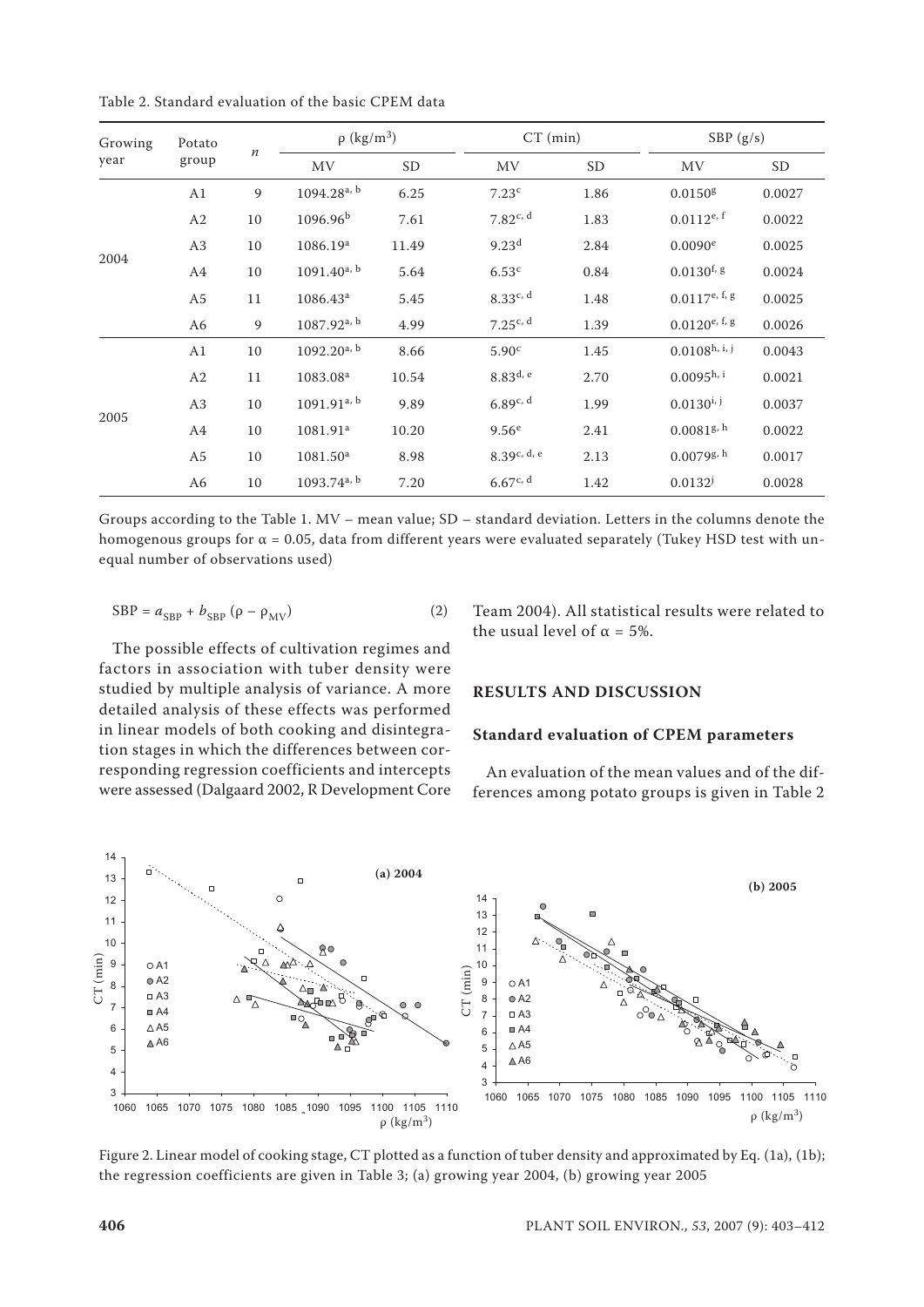Table 2. Standard evaluation of the basic CPEM data

| Growing | Potato         |                  | $\rho$ (kg/m <sup>3</sup> ) |           |                   | $CT$ (min) |                             | SBP $(g/s)$ |  |
|---------|----------------|------------------|-----------------------------|-----------|-------------------|------------|-----------------------------|-------------|--|
| year    | group          | $\boldsymbol{n}$ | <b>MV</b>                   | <b>SD</b> | MV                | <b>SD</b>  | MV                          | SD          |  |
|         | A1             | 9                | $1094.28^{a, b}$            | 6.25      | 7.23 <sup>c</sup> | 1.86       | 0.0150 <sup>g</sup>         | 0.0027      |  |
|         | A2             | 10               | 1096.96 <sup>b</sup>        | 7.61      | 7.82c, d          | 1.83       | $0.0112^{e, f}$             | 0.0022      |  |
|         | A <sub>3</sub> | 10               | 1086.19 <sup>a</sup>        | 11.49     | 9.23 <sup>d</sup> | 2.84       | $0.0090$ <sup>e</sup>       | 0.0025      |  |
| 2004    | A4             | 10               | $1091.40^{a, b}$            | 5.64      | 6.53 <sup>c</sup> | 0.84       | $0.0130$ <sup>f, g</sup>    | 0.0024      |  |
|         | A <sub>5</sub> | 11               | $1086.43^a$                 | 5.45      | 8.33c, d          | 1.48       | $0.0117^{\text{e, f, g}}$   | 0.0025      |  |
|         | A6             | 9                | $1087.92^{a, b}$            | 4.99      | 7.25c, d          | 1.39       | $0.0120^{e, f, g}$          | 0.0026      |  |
|         | A1             | 10               | $1092.20^{a, b}$            | 8.66      | 5.90 <sup>c</sup> | 1.45       | $0.0108$ <sup>h, i, j</sup> | 0.0043      |  |
|         | A2             | 11               | 1083.08 <sup>a</sup>        | 10.54     | $8.83^{d, e}$     | 2.70       | $0.0095^{\text{h}, i}$      | 0.0021      |  |
|         | A <sub>3</sub> | 10               | $1091.91^{a, b}$            | 9.89      | 6.89c, d          | 1.99       | $0.0130^{i,j}$              | 0.0037      |  |
| 2005    | A4             | 10               | 1081.91 <sup>a</sup>        | 10.20     | 9.56 <sup>e</sup> | 2.41       | 0.0081 <sup>g, h</sup>      | 0.0022      |  |
|         | A5             | 10               | 1081.50 <sup>a</sup>        | 8.98      | 8.39c, d, e       | 2.13       | $0.0079$ g, h               | 0.0017      |  |
|         | A6             | 10               | $1093.74$ <sup>a, b</sup>   | 7.20      | 6.67c, d          | 1.42       | $0.0132^{j}$                | 0.0028      |  |

Groups according to the Table 1. MV – mean value; SD – standard deviation. Letters in the columns denote the homogenous groups for  $\alpha$  = 0.05, data from different years were evaluated separately (Tukey HSD test with unequal number of observations used)

$$
SBP = a_{SBP} + b_{SBP} (\rho - \rho_{MV})
$$
 (2)

The possible effects of cultivation regimes and factors in association with tuber density were studied by multiple analysis of variance. A more detailed analysis of these effects was performed in linear models of both cooking and disintegration stages in which the differences between corresponding regression coefficients and intercepts were assessed (Dalgaard 2002, R Development Core Team 2004). All statistical results were related to the usual level of  $\alpha = 5\%$ .

#### **RESULTS AND DISCUSSION**

#### **Standard evaluation of CPEM parameters**

An evaluation of the mean values and of the differences among potato groups is given in Table 2



Figure 2. Linear model of cooking stage, CT plotted as a function of tuber density and approximated by Eq. (1a), (1b);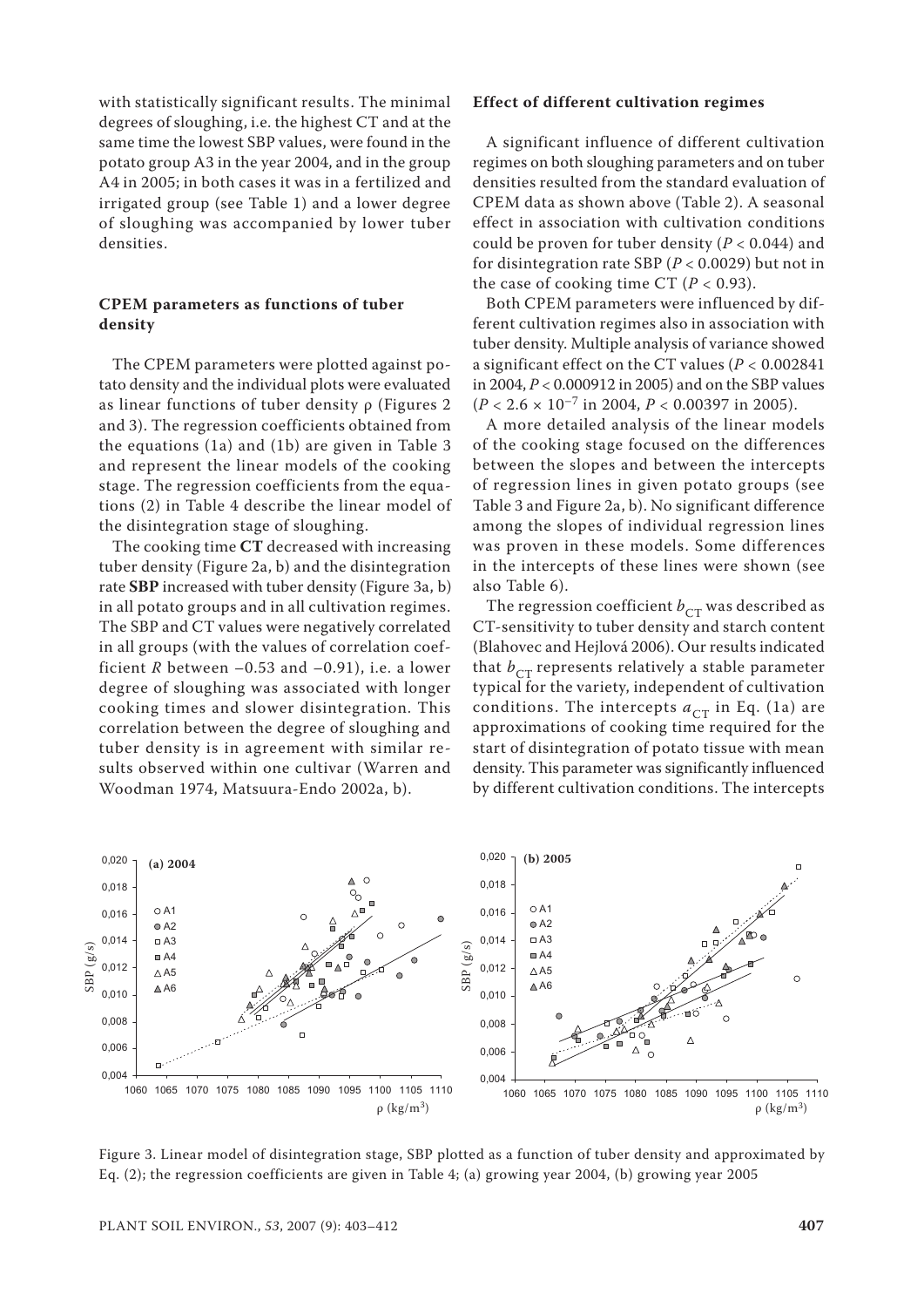with statistically significant results. The minimal degrees of sloughing, i.e. the highest CT and at the same time the lowest SBP values, were found in the potato group A3 in the year 2004, and in the group A4 in 2005; in both cases it was in a fertilized and irrigated group (see Table 1) and a lower degree of sloughing was accompanied by lower tuber densities.

## **CPEM parameters as functions of tuber density**

The CPEM parameters were plotted against potato density and the individual plots were evaluated as linear functions of tuber density ρ (Figures 2 and 3). The regression coefficients obtained from the equations (1a) and (1b) are given in Table 3 and represent the linear models of the cooking stage. The regression coefficients from the equations (2) in Table 4 describe the linear model of the disintegration stage of sloughing.

The cooking time **CT** decreased with increasing tuber density (Figure 2a, b) and the disintegration rate **SBP** increased with tuber density (Figure 3a, b) in all potato groups and in all cultivation regimes. The SBP and CT values were negatively correlated in all groups (with the values of correlation coefficient  $R$  between  $-0.53$  and  $-0.91$ ), i.e. a lower degree of sloughing was associated with longer cooking times and slower disintegration. This correlation between the degree of sloughing and tuber density is in agreement with similar results observed within one cultivar (Warren and Woodman 1974, Matsuura-Endo 2002a, b).

### **Effect of different cultivation regimes**

A significant influence of different cultivation regimes on both sloughing parameters and on tuber densities resulted from the standard evaluation of CPEM data as shown above (Table 2). A seasonal effect in association with cultivation conditions could be proven for tuber density (*P* < 0.044) and for disintegration rate SBP (*P* < 0.0029) but not in the case of cooking time CT  $(P < 0.93)$ .

Both CPEM parameters were influenced by different cultivation regimes also in association with tuber density. Multiple analysis of variance showed a significant effect on the CT values (*P* < 0.002841 in 2004, *P* < 0.000912 in 2005) and on the SBP values  $(P < 2.6 \times 10^{-7} \text{ in } 2004, P < 0.00397 \text{ in } 2005).$ 

A more detailed analysis of the linear models of the cooking stage focused on the differences between the slopes and between the intercepts of regression lines in given potato groups (see Table 3 and Figure 2a, b). No significant difference among the slopes of individual regression lines was proven in these models. Some differences in the intercepts of these lines were shown (see also Table 6).

The regression coefficient  $b_{CT}$  was described as CT-sensitivity to tuber density and starch content (Blahovec and Hejlová 2006). Our results indicated that  $b_{CT}$  represents relatively a stable parameter typical for the variety, independent of cultivation conditions. The intercepts  $a_{CT}$  in Eq. (1a) are approximations of cooking time required for the start of disintegration of potato tissue with mean density. This parameter was significantly influenced by different cultivation conditions. The intercepts



Figure 3. Linear model of disintegration stage, SBP plotted as a function of tuber density and approximated by Eq. (2); the regression coefficients are given in Table 4; (a) growing year 2004, (b) growing year 2005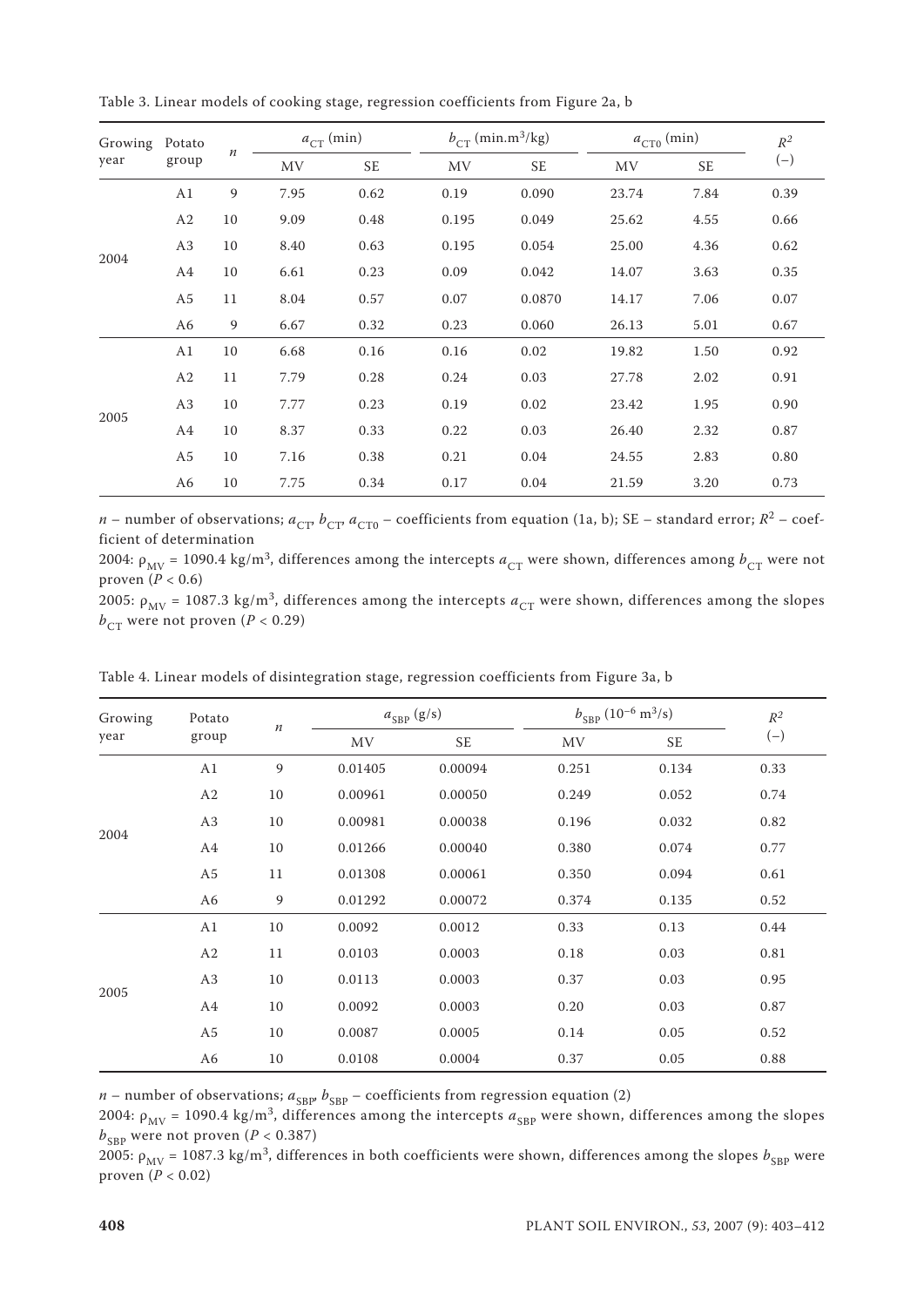| Table 3. Linear models of cooking stage, regression coefficients from Figure 2a, b |
|------------------------------------------------------------------------------------|
|------------------------------------------------------------------------------------|

| Growing | Potato         | $\boldsymbol{n}$ | $a_{CT}$ (min) |           |           | $b_{CT}$ (min.m <sup>3</sup> /kg) |       | $a_{{\rm CT}0}^{}$ (min) |       |
|---------|----------------|------------------|----------------|-----------|-----------|-----------------------------------|-------|--------------------------|-------|
| year    | group          |                  | MV             | <b>SE</b> | <b>MV</b> | <b>SE</b>                         | MV    | <b>SE</b>                | $(-)$ |
|         | A1             | 9                | 7.95           | 0.62      | 0.19      | 0.090                             | 23.74 | 7.84                     | 0.39  |
|         | A <sub>2</sub> | 10               | 9.09           | 0.48      | 0.195     | 0.049                             | 25.62 | 4.55                     | 0.66  |
|         | A3             | 10               | 8.40           | 0.63      | 0.195     | 0.054                             | 25.00 | 4.36                     | 0.62  |
| 2004    | A4             | 10               | 6.61           | 0.23      | 0.09      | 0.042                             | 14.07 | 3.63                     | 0.35  |
|         | A <sub>5</sub> | 11               | 8.04           | 0.57      | 0.07      | 0.0870                            | 14.17 | 7.06                     | 0.07  |
|         | A6             | 9                | 6.67           | 0.32      | 0.23      | 0.060                             | 26.13 | 5.01                     | 0.67  |
|         | A1             | 10               | 6.68           | 0.16      | 0.16      | 0.02                              | 19.82 | 1.50                     | 0.92  |
|         | A <sub>2</sub> | 11               | 7.79           | 0.28      | 0.24      | 0.03                              | 27.78 | 2.02                     | 0.91  |
|         | A3             | 10               | 7.77           | 0.23      | 0.19      | 0.02                              | 23.42 | 1.95                     | 0.90  |
| 2005    | A4             | 10               | 8.37           | 0.33      | 0.22      | 0.03                              | 26.40 | 2.32                     | 0.87  |
|         | A <sub>5</sub> | 10               | 7.16           | 0.38      | 0.21      | 0.04                              | 24.55 | 2.83                     | 0.80  |
|         | A6             | 10               | 7.75           | 0.34      | 0.17      | 0.04                              | 21.59 | 3.20                     | 0.73  |

*n* – number of observations;  $a_{CT}$ ,  $b_{CT}$ ,  $a_{CT0}$  – coefficients from equation (1a, b); SE – standard error;  $R^2$  – coefficient of determination

2004:  $\rho_{MV}$  = 1090.4 kg/m<sup>3</sup>, differences among the intercepts  $a_{CT}$  were shown, differences among  $b_{CT}$  were not proven (*P* < 0.6)

2005:  $\rho_{MV}$  = 1087.3 kg/m<sup>3</sup>, differences among the intercepts  $a_{CT}$  were shown, differences among the slopes  $b_{CT}$  were not proven (*P* < 0.29)

| Growing | Potato         | $\it n$ |           | $a_{SBP}$ (g/s) | $b_{SBP}$ (10 <sup>-6</sup> m <sup>3</sup> /s) |           | $\mathbb{R}^2$ |
|---------|----------------|---------|-----------|-----------------|------------------------------------------------|-----------|----------------|
| year    | group          |         | <b>MV</b> | <b>SE</b>       | <b>MV</b>                                      | <b>SE</b> | $(-)$          |
|         | A1             | 9       | 0.01405   | 0.00094         | 0.251                                          | 0.134     | 0.33           |
|         | A2             | 10      | 0.00961   | 0.00050         | 0.249                                          | 0.052     | 0.74           |
| 2004    | A3             | 10      | 0.00981   | 0.00038         | 0.196                                          | 0.032     | 0.82           |
|         | A4             | 10      | 0.01266   | 0.00040         | 0.380                                          | 0.074     | 0.77           |
|         | A <sub>5</sub> | 11      | 0.01308   | 0.00061         | 0.350                                          | 0.094     | 0.61           |
|         | A6             | 9       | 0.01292   | 0.00072         | 0.374                                          | 0.135     | 0.52           |
| 2005    | A1             | 10      | 0.0092    | 0.0012          | 0.33                                           | 0.13      | 0.44           |
|         | A2             | 11      | 0.0103    | 0.0003          | 0.18                                           | 0.03      | 0.81           |
|         | A3             | 10      | 0.0113    | 0.0003          | 0.37                                           | 0.03      | 0.95           |
|         | A4             | 10      | 0.0092    | 0.0003          | 0.20                                           | 0.03      | 0.87           |
|         | A <sub>5</sub> | 10      | 0.0087    | 0.0005          | 0.14                                           | 0.05      | 0.52           |
|         | A6             | 10      | 0.0108    | 0.0004          | 0.37                                           | 0.05      | 0.88           |

Table 4. Linear models of disintegration stage, regression coefficients from Figure 3a, b

 $n$  – number of observations;  $a_{SBP}$ ,  $b_{SBP}$  – coefficients from regression equation (2)

2004:  $\rho_{MV}$  = 1090.4 kg/m<sup>3</sup>, differences among the intercepts  $a_{SBP}$  were shown, differences among the slopes  $b_{SBP}$  were not proven (*P* < 0.387)

2005:  $\rho_{MV}$  = 1087.3 kg/m<sup>3</sup>, differences in both coefficients were shown, differences among the slopes  $b_{SBP}$  were proven (*P* < 0.02)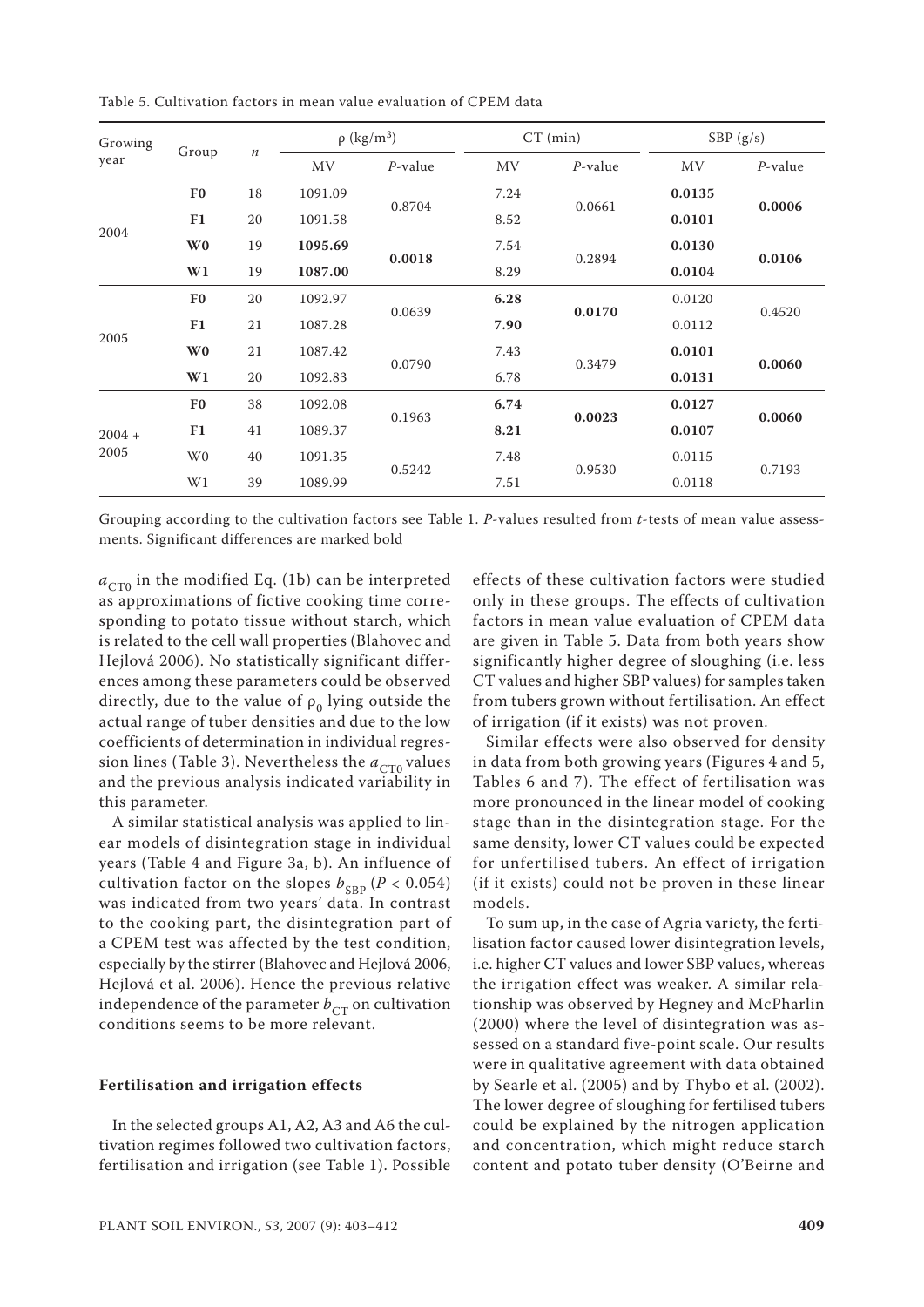| Table 5. Cultivation factors in mean value evaluation of CPEM data |  |
|--------------------------------------------------------------------|--|
|--------------------------------------------------------------------|--|

| Growing<br>Group |                |         | $\rho$ (kg/m <sup>3</sup> ) |            | $CT$ (min) |            | SBP $(g/s)$ |            |
|------------------|----------------|---------|-----------------------------|------------|------------|------------|-------------|------------|
| year             |                | $\it n$ | <b>MV</b>                   | $P$ -value | MV         | $P$ -value | MV          | $P$ -value |
|                  | F <sub>0</sub> | 18      | 1091.09                     | 0.8704     | 7.24       |            | 0.0135      |            |
|                  | F1             | 20      | 1091.58                     |            | 8.52       | 0.0661     | 0.0101      | 0.0006     |
| 2004             | W <sub>0</sub> | 19      | 1095.69                     | 0.0018     | 7.54       |            | 0.0130      |            |
|                  | W1             | 19      | 1087.00                     |            | 8.29       | 0.2894     | 0.0104      | 0.0106     |
|                  | F <sub>0</sub> | 20      | 1092.97                     | 0.0639     | 6.28       | 0.0170     | 0.0120      | 0.4520     |
|                  | F1             | 21      | 1087.28                     |            | 7.90       |            | 0.0112      |            |
| 2005             | W <sub>0</sub> | 21      | 1087.42                     | 0.0790     | 7.43       |            | 0.0101      | 0.0060     |
|                  | W1             | 20      | 1092.83                     |            | 6.78       | 0.3479     | 0.0131      |            |
|                  | F <sub>0</sub> | 38      | 1092.08                     |            | 6.74       | 0.0023     | 0.0127      |            |
| $2004 +$         | F1             | 41      | 1089.37                     | 0.1963     | 8.21       |            | 0.0107      | 0.0060     |
| 2005             | W <sub>0</sub> | 40      | 1091.35                     |            | 7.48       |            | 0.0115      |            |
|                  | W1             | 39      | 1089.99                     | 0.5242     | 7.51       | 0.9530     | 0.0118      | 0.7193     |

Grouping according to the cultivation factors see Table 1. *P*-values resulted from *t*-tests of mean value assessments. Significant differences are marked bold

 $a_{CT0}$  in the modified Eq. (1b) can be interpreted as approximations of fictive cooking time corresponding to potato tissue without starch, which is related to the cell wall properties (Blahovec and Hejlová 2006). No statistically significant differences among these parameters could be observed directly, due to the value of  $\rho_0$  lying outside the actual range of tuber densities and due to the low coefficients of determination in individual regression lines (Table 3). Nevertheless the  $a_{CT0}$  values and the previous analysis indicated variability in this parameter.

A similar statistical analysis was applied to linear models of disintegration stage in individual years (Table 4 and Figure 3a, b). An influence of cultivation factor on the slopes  $b_{SBP}$  ( $P < 0.054$ ) was indicated from two years' data. In contrast to the cooking part, the disintegration part of a CPEM test was affected by the test condition, especially by the stirrer (Blahovec and Hejlová 2006, Hejlová et al. 2006). Hence the previous relative independence of the parameter  $b_{CT}$  on cultivation conditions seems to be more relevant.

## **Fertilisation and irrigation effects**

In the selected groups A1, A2, A3 and A6 the cultivation regimes followed two cultivation factors, fertilisation and irrigation (see Table 1). Possible

effects of these cultivation factors were studied only in these groups. The effects of cultivation factors in mean value evaluation of CPEM data are given in Table 5. Data from both years show significantly higher degree of sloughing (i.e. less CT values and higher SBP values) for samples taken from tubers grown without fertilisation. An effect of irrigation (if it exists) was not proven.

Similar effects were also observed for density in data from both growing years (Figures 4 and 5, Tables 6 and 7). The effect of fertilisation was more pronounced in the linear model of cooking stage than in the disintegration stage. For the same density, lower CT values could be expected for unfertilised tubers. An effect of irrigation (if it exists) could not be proven in these linear models.

To sum up, in the case of Agria variety, the fertilisation factor caused lower disintegration levels, i.e. higher CT values and lower SBP values, whereas the irrigation effect was weaker. A similar relationship was observed by Hegney and McPharlin (2000) where the level of disintegration was assessed on a standard five-point scale. Our results were in qualitative agreement with data obtained by Searle et al. (2005) and by Thybo et al. (2002). The lower degree of sloughing for fertilised tubers could be explained by the nitrogen application and concentration, which might reduce starch content and potato tuber density (O'Beirne and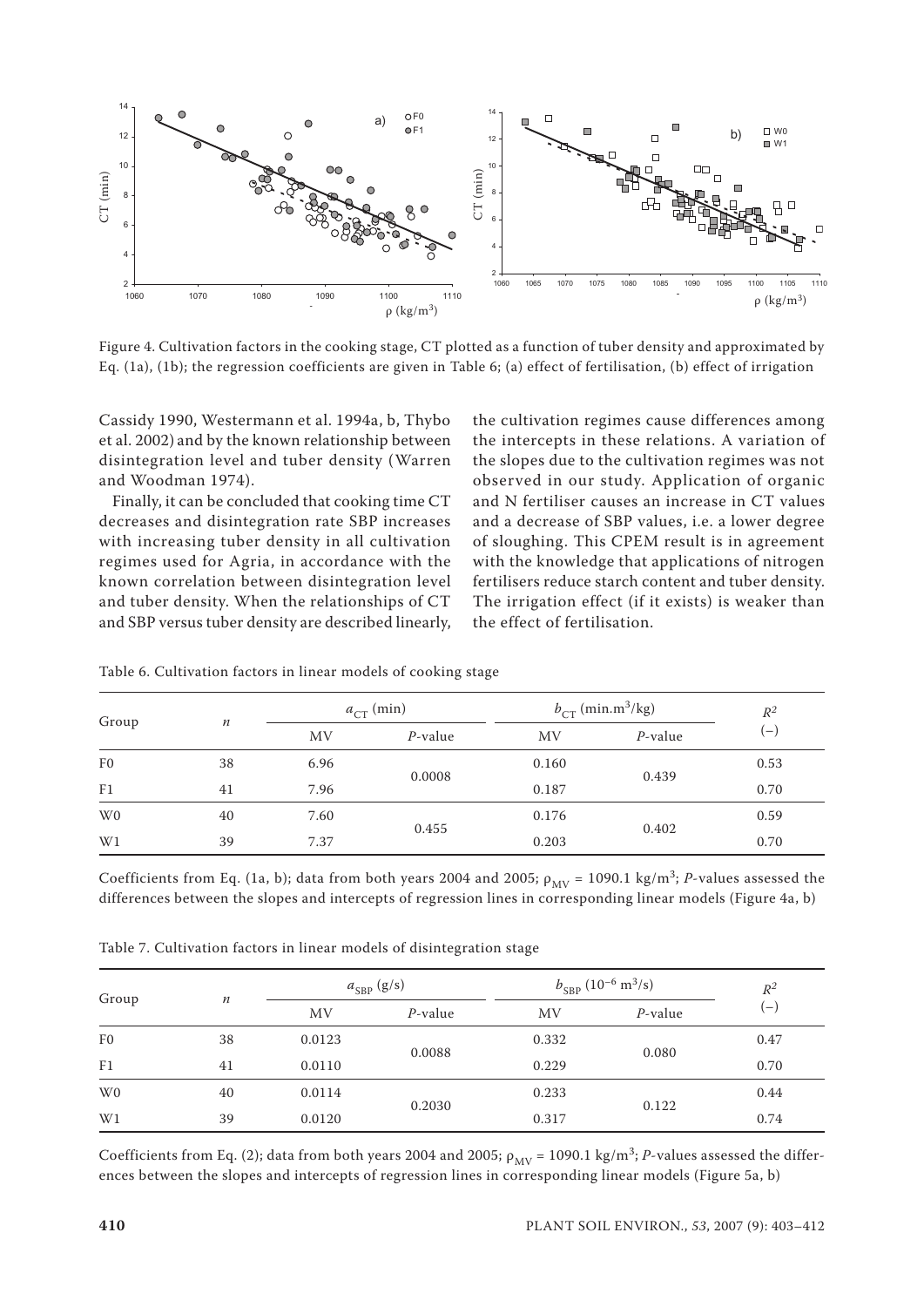

Figure 4. Cultivation factors in the cooking stage, CT plotted as a function of tuber density and approximated by

Cassidy 1990, Westermann et al. 1994a, b, Thybo et al. 2002) and by the known relationship between disintegration level and tuber density (Warren and Woodman 1974).

Finally, it can be concluded that cooking time CT decreases and disintegration rate SBP increases with increasing tuber density in all cultivation regimes used for Agria, in accordance with the known correlation between disintegration level and tuber density. When the relationships of CT and SBP versus tuber density are described linearly,

the cultivation regimes cause differences among the intercepts in these relations. A variation of the slopes due to the cultivation regimes was not observed in our study. Application of organic and N fertiliser causes an increase in CT values and a decrease of SBP values, i.e. a lower degree of sloughing. This CPEM result is in agreement with the knowledge that applications of nitrogen fertilisers reduce starch content and tuber density. The irrigation effect (if it exists) is weaker than the effect of fertilisation.

| Group          |                  |      | $a_{\text{CT}}$ (min) |           | $b_{CT}$ (min.m <sup>3</sup> /kg) | $\mathbb{R}^2$ |
|----------------|------------------|------|-----------------------|-----------|-----------------------------------|----------------|
|                | $\boldsymbol{n}$ | MV   | $P$ -value            | <b>MV</b> | $P$ -value                        | .— J           |
| F <sub>0</sub> | 38               | 6.96 | 0.0008                | 0.160     |                                   | 0.53           |
| F <sub>1</sub> | 41               | 7.96 |                       | 0.187     | 0.439                             | 0.70           |
| W <sub>0</sub> | 40               | 7.60 | 0.455                 | 0.176     |                                   | 0.59           |
| W1             | 39               | 7.37 |                       | 0.203     | 0.402                             | 0.70           |

Table 6. Cultivation factors in linear models of cooking stage

Coefficients from Eq. (1a, b); data from both years 2004 and 2005;  $\rho_{MV}$  = 1090.1 kg/m<sup>3</sup>; *P*-values assessed the differences between the slopes and intercepts of regression lines in corresponding linear models (Figure 4a, b)

| Table 7. Cultivation factors in linear models of disintegration stage |  |
|-----------------------------------------------------------------------|--|
|-----------------------------------------------------------------------|--|

| Group          | $\boldsymbol{n}$ |        | $a_{SBP}$ (g/s) | $b_{\text{SBP}}(10^{-6} \text{ m}^3/\text{s})$ |            | $R^2$                    |  |
|----------------|------------------|--------|-----------------|------------------------------------------------|------------|--------------------------|--|
|                |                  | MV     | $P$ -value      | <b>MV</b>                                      | $P$ -value | $\overline{\phantom{0}}$ |  |
| F <sub>0</sub> | 38               | 0.0123 | 0.0088          | 0.332                                          |            | 0.47                     |  |
| F1             | 41               | 0.0110 |                 | 0.229                                          | 0.080      | 0.70                     |  |
| W <sub>0</sub> | 40               | 0.0114 | 0.2030          | 0.233                                          |            | 0.44                     |  |
| W1             | 39               | 0.0120 |                 | 0.317                                          | 0.122      | 0.74                     |  |

Coefficients from Eq. (2); data from both years 2004 and 2005;  $\rho_{MV}$  = 1090.1 kg/m<sup>3</sup>; *P*-values assessed the differences between the slopes and intercepts of regression lines in corresponding linear models (Figure 5a, b)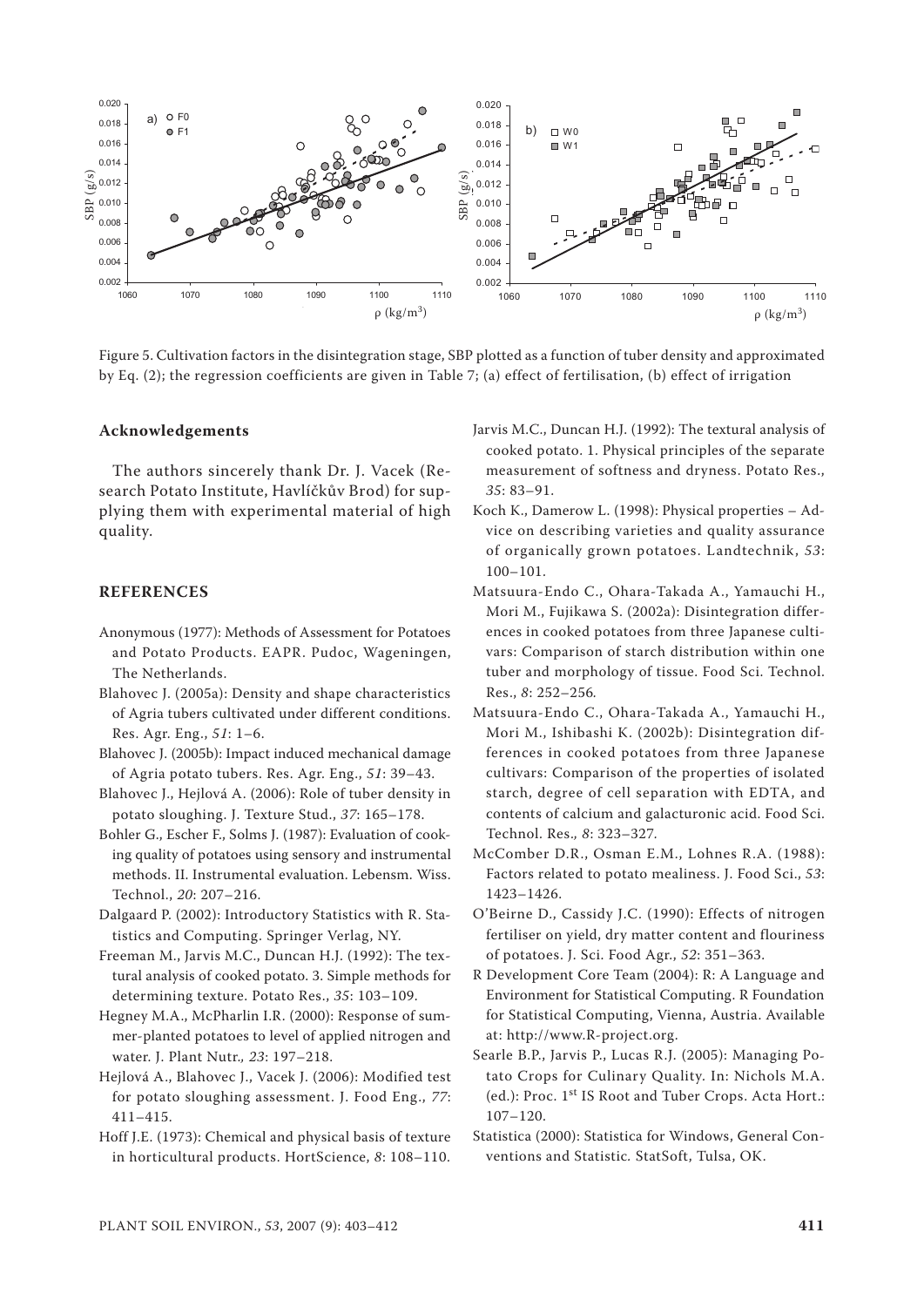

Figure 5. Cultivation factors in the disintegration stage, SBP plotted as a function of tuber density and approximated by Eq. (2); the regression coefficients are given in Table 7; (a) effect of fertilisation, (b) effect of irrigation

## **Acknowledgements**

The authors sincerely thank Dr. J. Vacek (Research Potato Institute, Havlíčkův Brod) for supplying them with experimental material of high quality.

## **REFERENCES**

- Anonymous (1977): Methods of Assessment for Potatoes and Potato Products. EAPR. Pudoc, Wageningen, The Netherlands.
- Blahovec J. (2005a): Density and shape characteristics of Agria tubers cultivated under different conditions. Res. Agr. Eng., *51*: 1–6.
- Blahovec J. (2005b): Impact induced mechanical damage of Agria potato tubers. Res. Agr. Eng., *51*: 39–43.
- Blahovec J., Hejlová A. (2006): Role of tuber density in potato sloughing. J. Texture Stud., *37*: 165–178.
- Bohler G., Escher F., Solms J. (1987): Evaluation of cooking quality of potatoes using sensory and instrumental methods. II. Instrumental evaluation. Lebensm. Wiss. Technol., *20*: 207–216.
- Dalgaard P. (2002): Introductory Statistics with R. Statistics and Computing. Springer Verlag, NY.
- Freeman M., Jarvis M.C., Duncan H.J. (1992): The textural analysis of cooked potato. 3. Simple methods for determining texture. Potato Res., *35*: 103–109.

Hegney M.A., McPharlin I.R. (2000): Response of summer-planted potatoes to level of applied nitrogen and water. J. Plant Nutr.*, 23*: 197–218.

Hejlová A., Blahovec J., Vacek J. (2006): Modified test for potato sloughing assessment. J. Food Eng., *77*: 411–415.

Hoff J.E. (1973): Chemical and physical basis of texture in horticultural products. HortScience, *8*: 108–110.

- Jarvis M.C., Duncan H.J. (1992): The textural analysis of cooked potato. 1. Physical principles of the separate measurement of softness and dryness. Potato Res., *35*: 83–91.
- Koch K., Damerow L. (1998): Physical properties Advice on describing varieties and quality assurance of organically grown potatoes. Landtechnik, *53*: 100–101.
- Matsuura-Endo C., Ohara-Takada A., Yamauchi H., Mori M., Fujikawa S. (2002a): Disintegration differences in cooked potatoes from three Japanese cultivars: Comparison of starch distribution within one tuber and morphology of tissue. Food Sci. Technol. Res., *8*: 252–256*.*
- Matsuura-Endo C., Ohara-Takada A., Yamauchi H., Mori M., Ishibashi K. (2002b): Disintegration differences in cooked potatoes from three Japanese cultivars: Comparison of the properties of isolated starch, degree of cell separation with EDTA, and contents of calcium and galacturonic acid. Food Sci. Technol. Res.*, 8*: 323–327*.*
- McComber D.R., Osman E.M., Lohnes R.A. (1988): Factors related to potato mealiness. J. Food Sci., *53*: 1423–1426.
- O'Beirne D., Cassidy J.C. (1990): Effects of nitrogen fertiliser on yield, dry matter content and flouriness of potatoes. J. Sci. Food Agr., *52*: 351–363.
- R Development Core Team (2004): R: A Language and Environment for Statistical Computing. R Foundation for Statistical Computing, Vienna, Austria. Available at: http://www.R-project.org.
- Searle B.P., Jarvis P., Lucas R.J. (2005): Managing Potato Crops for Culinary Quality. In: Nichols M.A. (ed.): Proc. 1st IS Root and Tuber Crops. Acta Hort.: 107–120.
- Statistica (2000): Statistica for Windows, General Conventions and Statistic*.* StatSoft, Tulsa, OK.